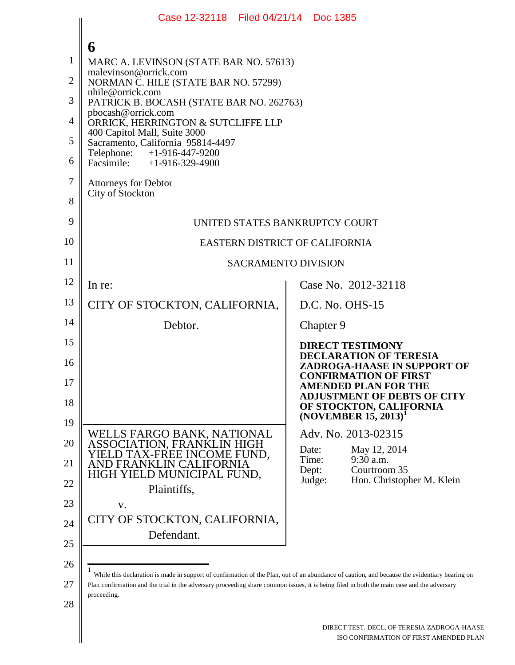|                | Case 12-32118 Filed 04/21/14 Doc 1385                                                                                                                         |                                                                                       |  |  |
|----------------|---------------------------------------------------------------------------------------------------------------------------------------------------------------|---------------------------------------------------------------------------------------|--|--|
|                | 6                                                                                                                                                             |                                                                                       |  |  |
| 1              | MARC A. LEVINSON (STATE BAR NO. 57613)                                                                                                                        |                                                                                       |  |  |
| $\overline{2}$ | malevinson@orrick.com<br>NORMAN C. HILE (STATE BAR NO. 57299)                                                                                                 |                                                                                       |  |  |
| 3              | nhile@orrick.com<br>PATRICK B. BOCASH (STATE BAR NO. 262763)                                                                                                  |                                                                                       |  |  |
| $\overline{4}$ | pbocash@orrick.com<br>ORRICK, HERRINGTON & SUTCLIFFE LLP                                                                                                      |                                                                                       |  |  |
| 5              | 400 Capitol Mall, Suite 3000<br>Sacramento, California 95814-4497                                                                                             |                                                                                       |  |  |
| 6              | Telephone: +1-916-447-9200<br>Facsimile: +1-916-329-4900                                                                                                      |                                                                                       |  |  |
| 7              | <b>Attorneys for Debtor</b>                                                                                                                                   |                                                                                       |  |  |
| 8              | City of Stockton                                                                                                                                              |                                                                                       |  |  |
| 9              | UNITED STATES BANKRUPTCY COURT                                                                                                                                |                                                                                       |  |  |
| 10             | EASTERN DISTRICT OF CALIFORNIA                                                                                                                                |                                                                                       |  |  |
| 11             | <b>SACRAMENTO DIVISION</b>                                                                                                                                    |                                                                                       |  |  |
| 12             | In re:                                                                                                                                                        | Case No. 2012-32118                                                                   |  |  |
| 13             | CITY OF STOCKTON, CALIFORNIA,                                                                                                                                 | D.C. No. OHS-15                                                                       |  |  |
| 14             | Debtor.                                                                                                                                                       | Chapter 9                                                                             |  |  |
| 15             |                                                                                                                                                               | <b>DIRECT TESTIMONY</b><br><b>DECLARATION OF TERESIA</b>                              |  |  |
| 16             |                                                                                                                                                               | <b>ZADROGA-HAASE IN SUPPORT OF</b><br><b>CONFIRMATION OF FIRST</b>                    |  |  |
| 17             |                                                                                                                                                               | <b>AMENDED PLAN FOR THE</b><br><b>ADJUSTMENT OF DEBTS OF CITY</b>                     |  |  |
| 18             |                                                                                                                                                               | OF STOCKTON, CALIFORNIA<br>$(NOVEMBER 15, 2013)^1$                                    |  |  |
| 19             | WELLS FARGO BANK, NATIONAL                                                                                                                                    | Adv. No. 2013-02315                                                                   |  |  |
| 20             | ASSOCIATION, FRANKLIN HIGH<br>YIELD TAX-FREE INCOME FUND,                                                                                                     | May 12, 2014<br>Date:<br>Time:<br>9:30 a.m.                                           |  |  |
| 21             | AND FRANKLIN CALIFORNIA<br>HIGH YIELD MUNICIPAL FUND,                                                                                                         | Dept:<br>Courtroom 35                                                                 |  |  |
| 22             | Plaintiffs,                                                                                                                                                   | Judge:<br>Hon. Christopher M. Klein                                                   |  |  |
| 23             | V.<br>CITY OF STOCKTON, CALIFORNIA,                                                                                                                           |                                                                                       |  |  |
| 24             | Defendant.                                                                                                                                                    |                                                                                       |  |  |
| 25             |                                                                                                                                                               |                                                                                       |  |  |
| 26             | $\mathbf{1}$<br>While this declaration is made in support of confirmation of the Plan, out of an abundance of caution, and because the evidentiary hearing on |                                                                                       |  |  |
| 27             | Plan confirmation and the trial in the adversary proceeding share common issues, it is being filed in both the main case and the adversary<br>proceeding.     |                                                                                       |  |  |
| 28             |                                                                                                                                                               |                                                                                       |  |  |
|                |                                                                                                                                                               | DIRECT TEST. DECL. OF TERESIA ZADROGA-HAASE<br>ISO CONFIRMATION OF FIRST AMENDED PLAN |  |  |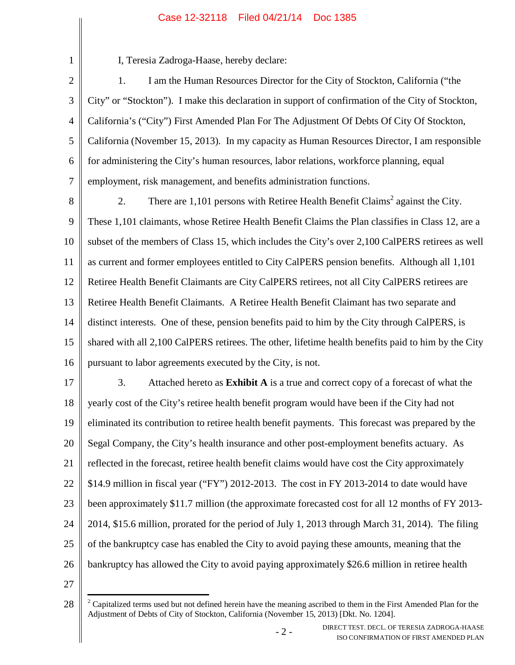# Case 12-32118 Filed 04/21/14 Doc 1385

2

1

I, Teresia Zadroga-Haase, hereby declare:

3 4 5 6 7 1. I am the Human Resources Director for the City of Stockton, California ("the City" or "Stockton"). I make this declaration in support of confirmation of the City of Stockton, California's ("City") First Amended Plan For The Adjustment Of Debts Of City Of Stockton, California (November 15, 2013). In my capacity as Human Resources Director, I am responsible for administering the City's human resources, labor relations, workforce planning, equal employment, risk management, and benefits administration functions.

8 9 10 11 12 13 14 15 16 2. There are  $1,101$  persons with Retiree Health Benefit Claims<sup>2</sup> against the City. These 1,101 claimants, whose Retiree Health Benefit Claims the Plan classifies in Class 12, are a subset of the members of Class 15, which includes the City's over 2,100 CalPERS retirees as well as current and former employees entitled to City CalPERS pension benefits. Although all 1,101 Retiree Health Benefit Claimants are City CalPERS retirees, not all City CalPERS retirees are Retiree Health Benefit Claimants. A Retiree Health Benefit Claimant has two separate and distinct interests. One of these, pension benefits paid to him by the City through CalPERS, is shared with all 2,100 CalPERS retirees. The other, lifetime health benefits paid to him by the City pursuant to labor agreements executed by the City, is not.

17 18 19 20 21 22 23 24 25 26 3. Attached hereto as **Exhibit A** is a true and correct copy of a forecast of what the yearly cost of the City's retiree health benefit program would have been if the City had not eliminated its contribution to retiree health benefit payments. This forecast was prepared by the Segal Company, the City's health insurance and other post-employment benefits actuary. As reflected in the forecast, retiree health benefit claims would have cost the City approximately \$14.9 million in fiscal year ("FY") 2012-2013. The cost in FY 2013-2014 to date would have been approximately \$11.7 million (the approximate forecasted cost for all 12 months of FY 2013- 2014, \$15.6 million, prorated for the period of July 1, 2013 through March 31, 2014). The filing of the bankruptcy case has enabled the City to avoid paying these amounts, meaning that the bankruptcy has allowed the City to avoid paying approximately \$26.6 million in retiree health

27

<sup>28</sup>  $2^2$  Capitalized terms used but not defined herein have the meaning ascribed to them in the First Amended Plan for the Adjustment of Debts of City of Stockton, California (November 15, 2013) [Dkt. No. 1204].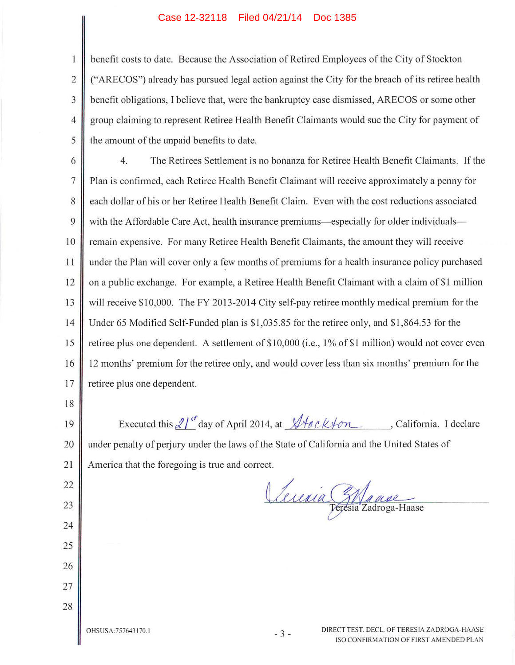### Case 12-32118 Filed 04/21/14 Doc 1385

benefit costs to date. Because the Association of Retired Employees of the City of Stockton ("ARECOS") already has pursued legal action against the City for the breach of its retiree health benefit obligations, I believe that, were the bankruptcy case dismissed, ARECOS or some other group claiming to represent Retiree Health Benefit Claimants would sue the City for payment of the amount of the unpaid benefits to date.

The Retirees Settlement is no bonanza for Retiree Health Benefit Claimants. If the 6 4.  $\overline{7}$ Plan is confirmed, each Retiree Health Benefit Claimant will receive approximately a penny for 8 each dollar of his or her Retiree Health Benefit Claim. Even with the cost reductions associated 9 with the Affordable Care Act, health insurance premiums—especially for older individuals— 10 remain expensive. For many Retiree Health Benefit Claimants, the amount they will receive 11 under the Plan will cover only a few months of premiums for a health insurance policy purchased on a public exchange. For example, a Retiree Health Benefit Claimant with a claim of \$1 million 12 will receive \$10,000. The FY 2013-2014 City self-pay retiree monthly medical premium for the 13  $14$ Under 65 Modified Self-Funded plan is \$1,035.85 for the retiree only, and \$1,864.53 for the retiree plus one dependent. A settlement of \$10,000 (i.e., 1% of \$1 million) would not cover even 15 16 12 months' premium for the retiree only, and would cover less than six months' premium for the 17 retiree plus one dependent.

18

22

23

24

25

26

27

28

1

 $\overline{2}$ 

3

 $\overline{4}$ 

5

Executed this  $2l^{t}$  day of April 2014, at  $\sqrt{4ack}$  on , California. I declare 19 under penalty of perjury under the laws of the State of California and the United States of 20 21 America that the foregoing is true and correct.

Leuria Etanse

OHSUSA: 757643170.1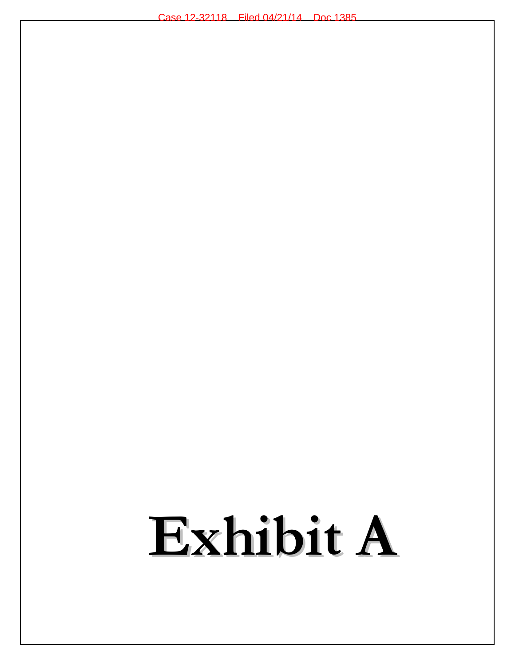# Exhibit A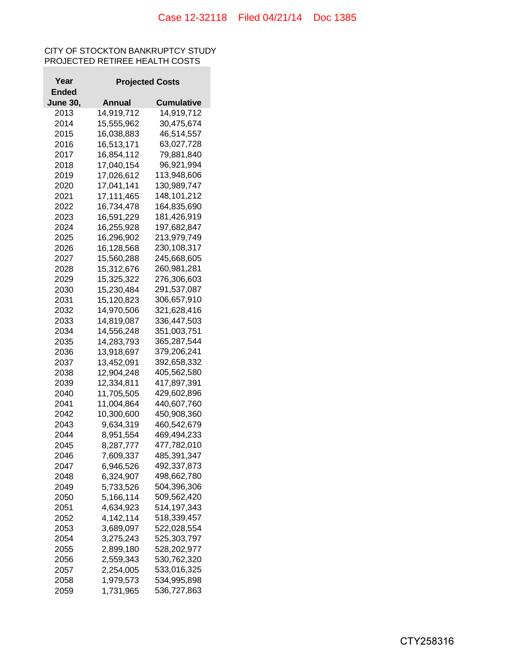## CITY OF STOCKTON BANKRUPTCY STUDY PROJECTED RETIREE HEALTH COSTS

| Year            |                        | <b>Projected Costs</b> |  |  |
|-----------------|------------------------|------------------------|--|--|
| Ended           |                        |                        |  |  |
| <b>June 30,</b> | Annual                 | Cumulative             |  |  |
| 2013            | 14,919,712             | 14,919,712             |  |  |
| 2014            | 15,555,962             | 30,475,674             |  |  |
| 2015            | 16,038,883             | 46,514,557             |  |  |
| 2016            | 16,513,171             | 63,027,728             |  |  |
| 2017            | 16,854,112             | 79,881,840             |  |  |
| 2018            | 17,040,154             | 96,921,994             |  |  |
| 2019            | 17,026,612             | 113,948,606            |  |  |
| 2020            | 17,041,141             | 130,989,747            |  |  |
| 2021            | 17,111,465             | 148,101,212            |  |  |
| 2022            | 16,734,478             | 164,835,690            |  |  |
|                 |                        |                        |  |  |
| 2023            | 16,591,229             | 181,426,919            |  |  |
| 2024            | 16,255,928             | 197,682,847            |  |  |
| 2025            | 16,296,902             | 213,979,749            |  |  |
| 2026            | 16,128,568             | 230,108,317            |  |  |
| 2027            | 15,560,288             | 245,668,605            |  |  |
| 2028            | 15,312,676             | 260,981,281            |  |  |
| 2029            | 15,325,322             | 276,306,603            |  |  |
| 2030            | 15,230,484             | 291,537,087            |  |  |
| 2031            | 15,120,823             | 306,657,910            |  |  |
| 2032            | 14,970,506             | 321,628,416            |  |  |
| 2033            | 14,819,087             | 336,447,503            |  |  |
| 2034            | 14,556,248             | 351,003,751            |  |  |
| 2035            | 14,283,793             | 365,287,544            |  |  |
| 2036            | 13,918,697             | 379,206,241            |  |  |
| 2037            | 13,452,091             | 392,658,332            |  |  |
| 2038            | 12,904,248             | 405,562,580            |  |  |
| 2039            | 12,334,811             | 417,897,391            |  |  |
| 2040            | 11,705,505             | 429,602,896            |  |  |
| 2041            | 11,004,864             | 440,607,760            |  |  |
| 2042            | 10,300,600             | 450,908,360            |  |  |
| 2043            | 9,634,319              | 460,542,679            |  |  |
| 2044            | 8,951,554              | 469,494,233            |  |  |
| 2045            | 8,287,777              | 477,782,010            |  |  |
| 2046            | 7,609,337              | 485,391,347            |  |  |
| 2047            | 6,946,526              | 492,337,873            |  |  |
| 2048            | 6,324,907              | 498,662,780            |  |  |
| 2049            | 5,733,526              | 504,396,306            |  |  |
| 2050            | 5,166,114              | 509,562,420            |  |  |
| 2051            | 4,634,923              | 514,197,343            |  |  |
| 2052            | 4,142,114              | 518,339,457            |  |  |
| 2053            | 3,689,097              | 522,028,554            |  |  |
| 2054            | 3,275,243              | 525,303,797            |  |  |
|                 |                        |                        |  |  |
| 2055<br>2056    | 2,899,180<br>2,559,343 | 528,202,977            |  |  |
|                 |                        | 530,762,320            |  |  |
| 2057            | 2,254,005              | 533,016,325            |  |  |
| 2058            | 1,979,573              | 534,995,898            |  |  |
| 2059            | 1,731,965              | 536,727,863            |  |  |